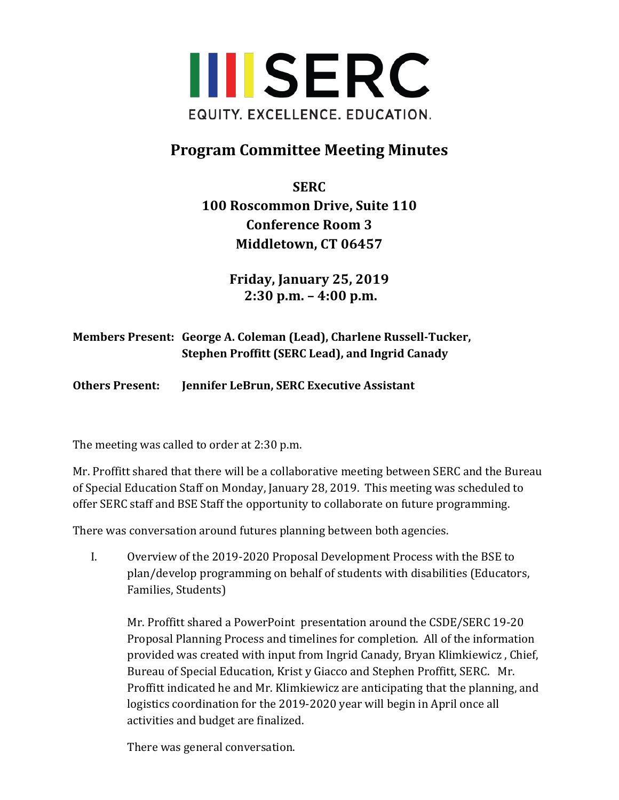

## **Program Committee Meeting Minutes**

**SERC**

**100 Roscommon Drive, Suite 110 Conference Room 3 Middletown, CT 06457**

> **Friday, January 25, 2019 2:30 p.m. – 4:00 p.m.**

Members Present: George A. Coleman (Lead), Charlene Russell-Tucker, **Stephen Proffitt (SERC Lead), and Ingrid Canady** 

**Others Present:** Jennifer LeBrun, SERC Executive Assistant

The meeting was called to order at 2:30 p.m.

Mr. Proffitt shared that there will be a collaborative meeting between SERC and the Bureau of Special Education Staff on Monday, January 28, 2019. This meeting was scheduled to offer SERC staff and BSE Staff the opportunity to collaborate on future programming.

There was conversation around futures planning between both agencies.

I. Overview of the 2019-2020 Proposal Development Process with the BSE to plan/develop programming on behalf of students with disabilities (Educators, Families, Students)

Mr. Proffitt shared a PowerPoint presentation around the CSDE/SERC 19-20 Proposal Planning Process and timelines for completion. All of the information provided was created with input from Ingrid Canady, Bryan Klimkiewicz, Chief, Bureau of Special Education, Krist y Giacco and Stephen Proffitt, SERC. Mr. Proffitt indicated he and Mr. Klimkiewicz are anticipating that the planning, and logistics coordination for the 2019-2020 year will begin in April once all activities and budget are finalized.

There was general conversation.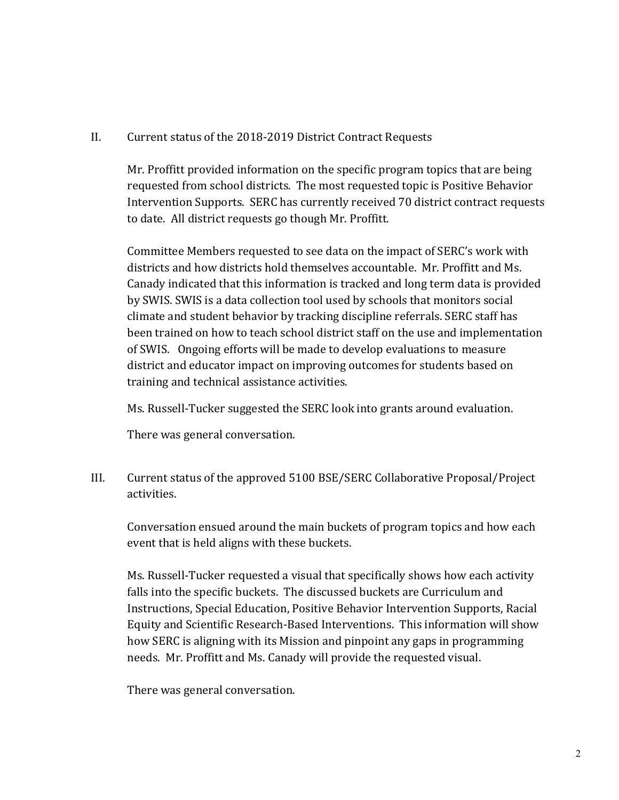## II. Current status of the 2018-2019 District Contract Requests

Mr. Proffitt provided information on the specific program topics that are being requested from school districts. The most requested topic is Positive Behavior Intervention Supports. SERC has currently received 70 district contract requests to date. All district requests go though Mr. Proffitt.

Committee Members requested to see data on the impact of SERC's work with districts and how districts hold themselves accountable. Mr. Proffitt and Ms. Canady indicated that this information is tracked and long term data is provided by SWIS. SWIS is a data collection tool used by schools that monitors social climate and student behavior by tracking discipline referrals. SERC staff has been trained on how to teach school district staff on the use and implementation of SWIS. Ongoing efforts will be made to develop evaluations to measure district and educator impact on improving outcomes for students based on training and technical assistance activities.

Ms. Russell-Tucker suggested the SERC look into grants around evaluation.

There was general conversation.

III. Current status of the approved 5100 BSE/SERC Collaborative Proposal/Project activities.

Conversation ensued around the main buckets of program topics and how each event that is held aligns with these buckets.

Ms. Russell-Tucker requested a visual that specifically shows how each activity falls into the specific buckets. The discussed buckets are Curriculum and Instructions, Special Education, Positive Behavior Intervention Supports, Racial Equity and Scientific Research-Based Interventions. This information will show how SERC is aligning with its Mission and pinpoint any gaps in programming needs. Mr. Proffitt and Ms. Canady will provide the requested visual.

There was general conversation.